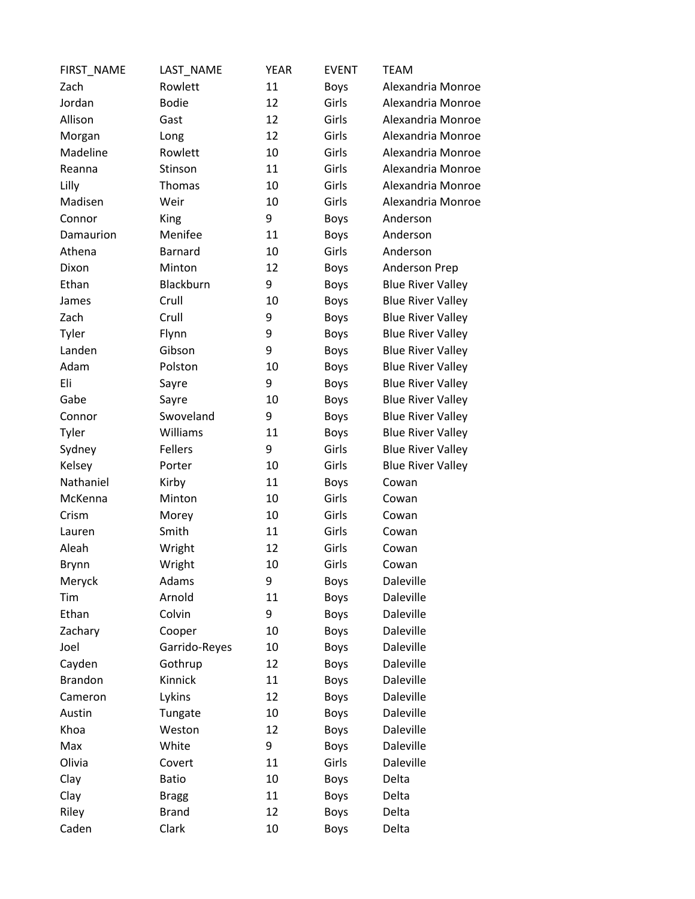| FIRST_NAME     | LAST_NAME     | <b>YEAR</b> | <b>EVENT</b> | <b>TEAM</b>              |
|----------------|---------------|-------------|--------------|--------------------------|
| Zach           | Rowlett       | 11          | <b>Boys</b>  | Alexandria Monroe        |
| Jordan         | <b>Bodie</b>  | 12          | Girls        | Alexandria Monroe        |
| Allison        | Gast          | 12          | Girls        | Alexandria Monroe        |
| Morgan         | Long          | 12          | Girls        | Alexandria Monroe        |
| Madeline       | Rowlett       | 10          | Girls        | Alexandria Monroe        |
| Reanna         | Stinson       | 11          | Girls        | Alexandria Monroe        |
| Lilly          | Thomas        | 10          | Girls        | Alexandria Monroe        |
| Madisen        | Weir          | 10          | Girls        | Alexandria Monroe        |
| Connor         | King          | 9           | <b>Boys</b>  | Anderson                 |
| Damaurion      | Menifee       | 11          | <b>Boys</b>  | Anderson                 |
| Athena         | Barnard       | 10          | Girls        | Anderson                 |
| Dixon          | Minton        | 12          | <b>Boys</b>  | Anderson Prep            |
| Ethan          | Blackburn     | 9           | <b>Boys</b>  | <b>Blue River Valley</b> |
| James          | Crull         | 10          | <b>Boys</b>  | <b>Blue River Valley</b> |
| Zach           | Crull         | 9           | <b>Boys</b>  | <b>Blue River Valley</b> |
| Tyler          | Flynn         | 9           | <b>Boys</b>  | <b>Blue River Valley</b> |
| Landen         | Gibson        | 9           | <b>Boys</b>  | <b>Blue River Valley</b> |
| Adam           | Polston       | 10          | <b>Boys</b>  | <b>Blue River Valley</b> |
| Eli            | Sayre         | 9           | <b>Boys</b>  | <b>Blue River Valley</b> |
| Gabe           | Sayre         | 10          | <b>Boys</b>  | <b>Blue River Valley</b> |
| Connor         | Swoveland     | 9           | <b>Boys</b>  | <b>Blue River Valley</b> |
| Tyler          | Williams      | 11          | <b>Boys</b>  | <b>Blue River Valley</b> |
| Sydney         | Fellers       | 9           | Girls        | <b>Blue River Valley</b> |
| Kelsey         | Porter        | 10          | Girls        | <b>Blue River Valley</b> |
| Nathaniel      | Kirby         | 11          | <b>Boys</b>  | Cowan                    |
| McKenna        | Minton        | 10          | Girls        | Cowan                    |
| Crism          | Morey         | 10          | Girls        | Cowan                    |
| Lauren         | Smith         | 11          | Girls        | Cowan                    |
| Aleah          | Wright        | 12          | Girls        | Cowan                    |
| Brynn          | Wright        | 10          | Girls        | Cowan                    |
| Meryck         | Adams         | 9           | <b>Boys</b>  | Daleville                |
| Tim            | Arnold        | 11          | <b>Boys</b>  | Daleville                |
| Ethan          | Colvin        | 9           | <b>Boys</b>  | Daleville                |
| Zachary        | Cooper        | 10          | <b>Boys</b>  | Daleville                |
| Joel           | Garrido-Reyes | 10          | <b>Boys</b>  | Daleville                |
| Cayden         | Gothrup       | 12          | <b>Boys</b>  | Daleville                |
| <b>Brandon</b> | Kinnick       | 11          | <b>Boys</b>  | Daleville                |
| Cameron        | Lykins        | 12          | <b>Boys</b>  | Daleville                |
| Austin         | Tungate       | 10          | <b>Boys</b>  | Daleville                |
| Khoa           | Weston        | 12          | <b>Boys</b>  | Daleville                |
| Max            | White         | 9           | <b>Boys</b>  | Daleville                |
| Olivia         | Covert        | 11          | Girls        | Daleville                |
| Clay           | <b>Batio</b>  | 10          | <b>Boys</b>  | Delta                    |
| Clay           | <b>Bragg</b>  | 11          | <b>Boys</b>  | Delta                    |
| Riley          | <b>Brand</b>  | 12          | <b>Boys</b>  | Delta                    |
| Caden          | Clark         | 10          | <b>Boys</b>  | Delta                    |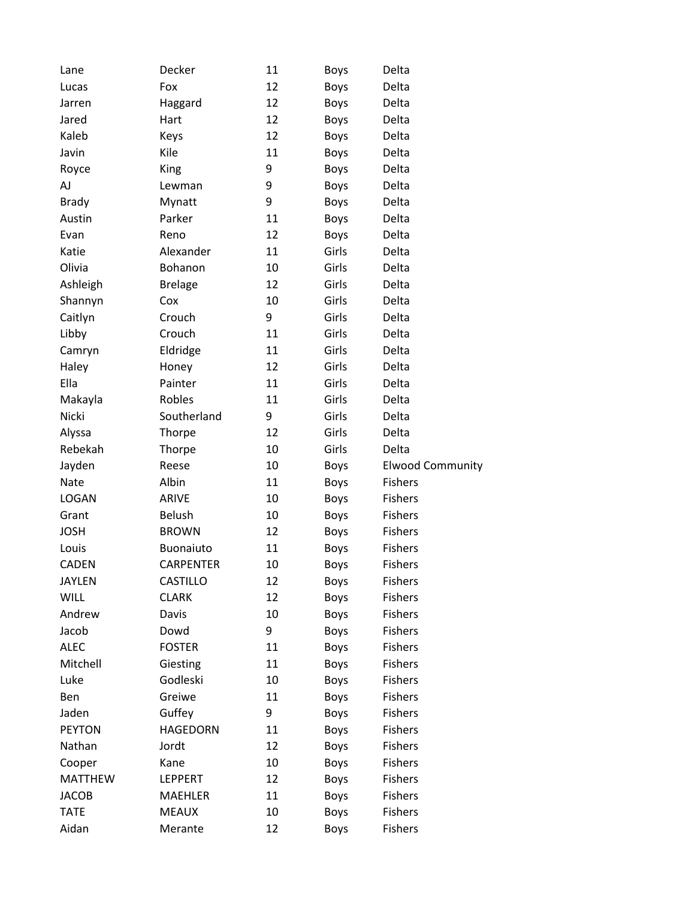| Lane           | Decker           | 11 | Boys        | Delta                   |
|----------------|------------------|----|-------------|-------------------------|
| Lucas          | Fox              | 12 | Boys        | Delta                   |
| Jarren         | Haggard          | 12 | <b>Boys</b> | Delta                   |
| Jared          | Hart             | 12 | <b>Boys</b> | Delta                   |
| Kaleb          | Keys             | 12 | <b>Boys</b> | Delta                   |
| Javin          | Kile             | 11 | <b>Boys</b> | Delta                   |
| Royce          | <b>King</b>      | 9  | <b>Boys</b> | Delta                   |
| AJ             | Lewman           | 9  | Boys        | Delta                   |
| <b>Brady</b>   | Mynatt           | 9  | Boys        | Delta                   |
| Austin         | Parker           | 11 | <b>Boys</b> | Delta                   |
| Evan           | Reno             | 12 | <b>Boys</b> | Delta                   |
| Katie          | Alexander        | 11 | Girls       | Delta                   |
| Olivia         | Bohanon          | 10 | Girls       | Delta                   |
| Ashleigh       | <b>Brelage</b>   | 12 | Girls       | Delta                   |
| Shannyn        | Cox              | 10 | Girls       | Delta                   |
| Caitlyn        | Crouch           | 9  | Girls       | Delta                   |
| Libby          | Crouch           | 11 | Girls       | Delta                   |
| Camryn         | Eldridge         | 11 | Girls       | Delta                   |
| Haley          | Honey            | 12 | Girls       | Delta                   |
| Ella           | Painter          | 11 | Girls       | Delta                   |
| Makayla        | Robles           | 11 | Girls       | Delta                   |
| Nicki          | Southerland      | 9  | Girls       | Delta                   |
| Alyssa         | Thorpe           | 12 | Girls       | Delta                   |
| Rebekah        | Thorpe           | 10 | Girls       | Delta                   |
| Jayden         | Reese            | 10 | <b>Boys</b> | <b>Elwood Community</b> |
| Nate           | Albin            | 11 | <b>Boys</b> | <b>Fishers</b>          |
| <b>LOGAN</b>   | <b>ARIVE</b>     | 10 | Boys        | <b>Fishers</b>          |
| Grant          | <b>Belush</b>    | 10 | Boys        | <b>Fishers</b>          |
| <b>JOSH</b>    | <b>BROWN</b>     | 12 | <b>Boys</b> | <b>Fishers</b>          |
| Louis          | Buonaiuto        | 11 | <b>Boys</b> | <b>Fishers</b>          |
| <b>CADEN</b>   | <b>CARPENTER</b> | 10 | <b>Boys</b> | <b>Fishers</b>          |
| <b>JAYLEN</b>  | CASTILLO         | 12 | <b>Boys</b> | <b>Fishers</b>          |
| <b>WILL</b>    | <b>CLARK</b>     | 12 | <b>Boys</b> | <b>Fishers</b>          |
| Andrew         | Davis            | 10 | <b>Boys</b> | <b>Fishers</b>          |
| Jacob          | Dowd             | 9  | <b>Boys</b> | <b>Fishers</b>          |
| <b>ALEC</b>    | <b>FOSTER</b>    | 11 | <b>Boys</b> | <b>Fishers</b>          |
| Mitchell       | Giesting         | 11 | <b>Boys</b> | <b>Fishers</b>          |
| Luke           | Godleski         | 10 | <b>Boys</b> | <b>Fishers</b>          |
| Ben            | Greiwe           | 11 | <b>Boys</b> | <b>Fishers</b>          |
| Jaden          | Guffey           | 9  | <b>Boys</b> | <b>Fishers</b>          |
| <b>PEYTON</b>  | <b>HAGEDORN</b>  | 11 | <b>Boys</b> | <b>Fishers</b>          |
| Nathan         | Jordt            | 12 | <b>Boys</b> | <b>Fishers</b>          |
| Cooper         | Kane             | 10 | <b>Boys</b> | <b>Fishers</b>          |
| <b>MATTHEW</b> | <b>LEPPERT</b>   | 12 | <b>Boys</b> | <b>Fishers</b>          |
| <b>JACOB</b>   | <b>MAEHLER</b>   | 11 | <b>Boys</b> | <b>Fishers</b>          |
| <b>TATE</b>    | <b>MEAUX</b>     | 10 | <b>Boys</b> | <b>Fishers</b>          |
| Aidan          | Merante          | 12 | <b>Boys</b> | <b>Fishers</b>          |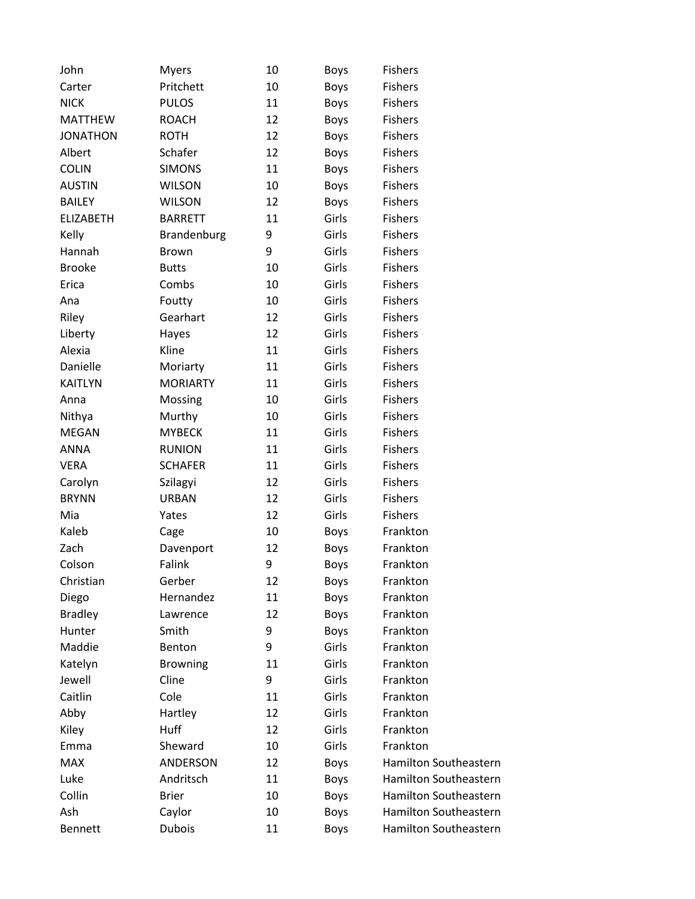| John             | <b>Myers</b>    | 10 | <b>Boys</b> | <b>Fishers</b>               |
|------------------|-----------------|----|-------------|------------------------------|
| Carter           | Pritchett       | 10 | <b>Boys</b> | <b>Fishers</b>               |
| <b>NICK</b>      | <b>PULOS</b>    | 11 | <b>Boys</b> | <b>Fishers</b>               |
| <b>MATTHEW</b>   | <b>ROACH</b>    | 12 | <b>Boys</b> | <b>Fishers</b>               |
| <b>JONATHON</b>  | <b>ROTH</b>     | 12 | <b>Boys</b> | <b>Fishers</b>               |
| Albert           | Schafer         | 12 | <b>Boys</b> | <b>Fishers</b>               |
| <b>COLIN</b>     | <b>SIMONS</b>   | 11 | <b>Boys</b> | <b>Fishers</b>               |
| <b>AUSTIN</b>    | <b>WILSON</b>   | 10 | <b>Boys</b> | <b>Fishers</b>               |
| <b>BAILEY</b>    | <b>WILSON</b>   | 12 | <b>Boys</b> | <b>Fishers</b>               |
| <b>ELIZABETH</b> | <b>BARRETT</b>  | 11 | Girls       | <b>Fishers</b>               |
| Kelly            | Brandenburg     | 9  | Girls       | <b>Fishers</b>               |
| Hannah           | <b>Brown</b>    | 9  | Girls       | <b>Fishers</b>               |
| <b>Brooke</b>    | <b>Butts</b>    | 10 | Girls       | <b>Fishers</b>               |
| Erica            | Combs           | 10 | Girls       | <b>Fishers</b>               |
| Ana              | Foutty          | 10 | Girls       | <b>Fishers</b>               |
| Riley            | Gearhart        | 12 | Girls       | <b>Fishers</b>               |
| Liberty          | Hayes           | 12 | Girls       | <b>Fishers</b>               |
| Alexia           | Kline           | 11 | Girls       | <b>Fishers</b>               |
| Danielle         | Moriarty        | 11 | Girls       | <b>Fishers</b>               |
| <b>KAITLYN</b>   | <b>MORIARTY</b> | 11 | Girls       | <b>Fishers</b>               |
| Anna             | Mossing         | 10 | Girls       | <b>Fishers</b>               |
| Nithya           | Murthy          | 10 | Girls       | <b>Fishers</b>               |
| <b>MEGAN</b>     | <b>MYBECK</b>   | 11 | Girls       | <b>Fishers</b>               |
| ANNA             | <b>RUNION</b>   | 11 | Girls       | <b>Fishers</b>               |
| <b>VERA</b>      | <b>SCHAFER</b>  | 11 | Girls       | <b>Fishers</b>               |
| Carolyn          | Szilagyi        | 12 | Girls       | <b>Fishers</b>               |
| <b>BRYNN</b>     | <b>URBAN</b>    | 12 | Girls       | <b>Fishers</b>               |
| Mia              | Yates           | 12 | Girls       | <b>Fishers</b>               |
| Kaleb            | Cage            | 10 | <b>Boys</b> | Frankton                     |
| Zach             | Davenport       | 12 | <b>Boys</b> | Frankton                     |
| Colson           | Falink          | 9  | <b>Boys</b> | Frankton                     |
| Christian        | Gerber          | 12 | <b>Boys</b> | Frankton                     |
| Diego            | Hernandez       | 11 | Boys        | Frankton                     |
| <b>Bradley</b>   | Lawrence        | 12 | <b>Boys</b> | Frankton                     |
| Hunter           | Smith           | 9  | <b>Boys</b> | Frankton                     |
| Maddie           | Benton          | 9  | Girls       | Frankton                     |
| Katelyn          | <b>Browning</b> | 11 | Girls       | Frankton                     |
| Jewell           | Cline           | 9  | Girls       | Frankton                     |
| Caitlin          | Cole            | 11 | Girls       | Frankton                     |
| Abby             | Hartley         | 12 | Girls       | Frankton                     |
| Kiley            | Huff            | 12 | Girls       | Frankton                     |
| Emma             | Sheward         | 10 | Girls       | Frankton                     |
| <b>MAX</b>       | ANDERSON        | 12 | <b>Boys</b> | <b>Hamilton Southeastern</b> |
| Luke             | Andritsch       | 11 | <b>Boys</b> | <b>Hamilton Southeastern</b> |
| Collin           | <b>Brier</b>    | 10 | <b>Boys</b> | Hamilton Southeastern        |
| Ash              | Caylor          | 10 | <b>Boys</b> | <b>Hamilton Southeastern</b> |
| <b>Bennett</b>   | <b>Dubois</b>   | 11 | <b>Boys</b> | Hamilton Southeastern        |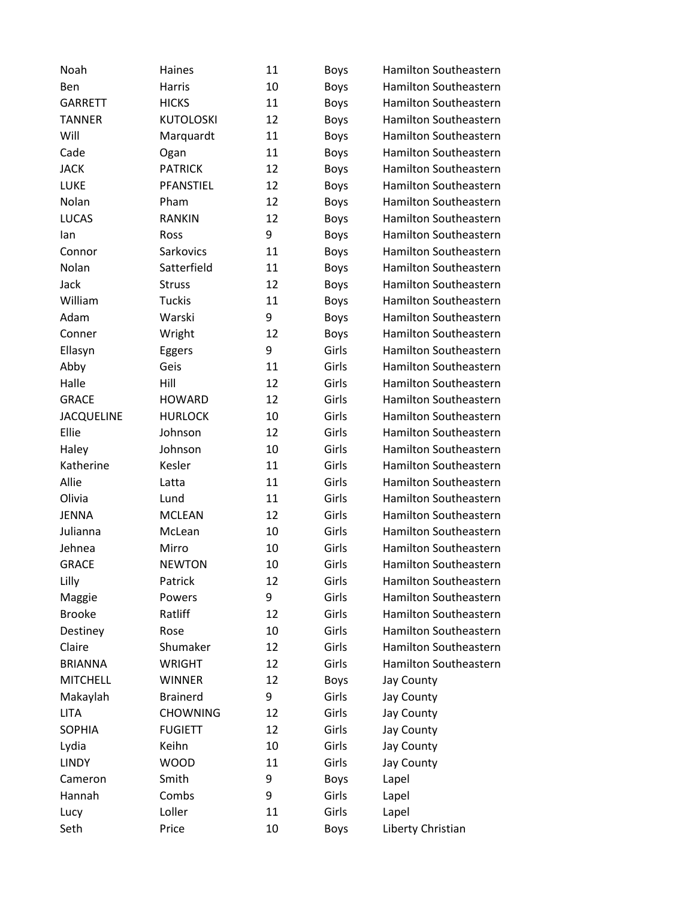| Noah              | Haines           | 11 | <b>Boys</b> | Hamilton Southeastern        |
|-------------------|------------------|----|-------------|------------------------------|
| Ben               | Harris           | 10 | <b>Boys</b> | Hamilton Southeastern        |
| <b>GARRETT</b>    | <b>HICKS</b>     | 11 | <b>Boys</b> | Hamilton Southeastern        |
| <b>TANNER</b>     | <b>KUTOLOSKI</b> | 12 | <b>Boys</b> | <b>Hamilton Southeastern</b> |
| Will              | Marquardt        | 11 | <b>Boys</b> | Hamilton Southeastern        |
| Cade              | Ogan             | 11 | <b>Boys</b> | Hamilton Southeastern        |
| <b>JACK</b>       | <b>PATRICK</b>   | 12 | <b>Boys</b> | Hamilton Southeastern        |
| LUKE              | PFANSTIEL        | 12 | <b>Boys</b> | Hamilton Southeastern        |
| Nolan             | Pham             | 12 | Boys        | <b>Hamilton Southeastern</b> |
| <b>LUCAS</b>      | <b>RANKIN</b>    | 12 | <b>Boys</b> | Hamilton Southeastern        |
| lan               | Ross             | 9  | <b>Boys</b> | <b>Hamilton Southeastern</b> |
| Connor            | Sarkovics        | 11 | <b>Boys</b> | Hamilton Southeastern        |
| Nolan             | Satterfield      | 11 | <b>Boys</b> | Hamilton Southeastern        |
| Jack              | <b>Struss</b>    | 12 | <b>Boys</b> | Hamilton Southeastern        |
| William           | <b>Tuckis</b>    | 11 | <b>Boys</b> | Hamilton Southeastern        |
| Adam              | Warski           | 9  | <b>Boys</b> | Hamilton Southeastern        |
| Conner            | Wright           | 12 | <b>Boys</b> | Hamilton Southeastern        |
| Ellasyn           | Eggers           | 9  | Girls       | <b>Hamilton Southeastern</b> |
| Abby              | Geis             | 11 | Girls       | Hamilton Southeastern        |
| Halle             | Hill             | 12 | Girls       | <b>Hamilton Southeastern</b> |
| <b>GRACE</b>      | <b>HOWARD</b>    | 12 | Girls       | Hamilton Southeastern        |
| <b>JACQUELINE</b> | <b>HURLOCK</b>   | 10 | Girls       | Hamilton Southeastern        |
| Ellie             | Johnson          | 12 | Girls       | <b>Hamilton Southeastern</b> |
| Haley             | Johnson          | 10 | Girls       | Hamilton Southeastern        |
| Katherine         | Kesler           | 11 | Girls       | <b>Hamilton Southeastern</b> |
| Allie             | Latta            | 11 | Girls       | Hamilton Southeastern        |
| Olivia            | Lund             | 11 | Girls       | Hamilton Southeastern        |
| <b>JENNA</b>      | <b>MCLEAN</b>    | 12 | Girls       | Hamilton Southeastern        |
| Julianna          | McLean           | 10 | Girls       | Hamilton Southeastern        |
| Jehnea            | Mirro            | 10 | Girls       | Hamilton Southeastern        |
| <b>GRACE</b>      | <b>NEWTON</b>    | 10 | Girls       | Hamilton Southeastern        |
| Lilly             | Patrick          | 12 | Girls       | Hamilton Southeastern        |
| Maggie            | Powers           | 9  | Girls       | Hamilton Southeastern        |
| <b>Brooke</b>     | Ratliff          | 12 | Girls       | Hamilton Southeastern        |
| Destiney          | Rose             | 10 | Girls       | Hamilton Southeastern        |
| Claire            | Shumaker         | 12 | Girls       | Hamilton Southeastern        |
| <b>BRIANNA</b>    | <b>WRIGHT</b>    | 12 | Girls       | Hamilton Southeastern        |
| <b>MITCHELL</b>   | <b>WINNER</b>    | 12 | <b>Boys</b> | Jay County                   |
| Makaylah          | <b>Brainerd</b>  | 9  | Girls       | Jay County                   |
| <b>LITA</b>       | <b>CHOWNING</b>  | 12 | Girls       | Jay County                   |
| <b>SOPHIA</b>     | <b>FUGIETT</b>   | 12 | Girls       | Jay County                   |
| Lydia             | Keihn            | 10 | Girls       | Jay County                   |
| <b>LINDY</b>      | <b>WOOD</b>      | 11 | Girls       | Jay County                   |
| Cameron           | Smith            | 9  | <b>Boys</b> | Lapel                        |
| Hannah            | Combs            | 9  | Girls       | Lapel                        |
| Lucy              | Loller           | 11 | Girls       | Lapel                        |
| Seth              | Price            | 10 | <b>Boys</b> | Liberty Christian            |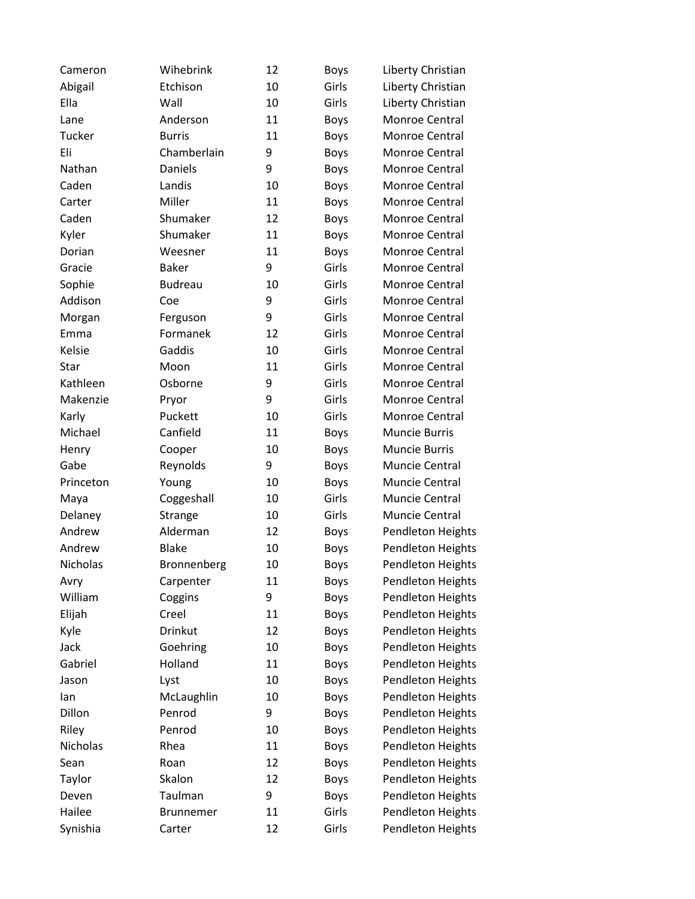| Cameron   | Wihebrink      | 12 | <b>Boys</b> | Liberty Christian        |
|-----------|----------------|----|-------------|--------------------------|
| Abigail   | Etchison       | 10 | Girls       | Liberty Christian        |
| Ella      | Wall           | 10 | Girls       | Liberty Christian        |
| Lane      | Anderson       | 11 | <b>Boys</b> | Monroe Central           |
| Tucker    | <b>Burris</b>  | 11 | <b>Boys</b> | Monroe Central           |
| Eli       | Chamberlain    | 9  | <b>Boys</b> | Monroe Central           |
| Nathan    | Daniels        | 9  | <b>Boys</b> | Monroe Central           |
| Caden     | Landis         | 10 | <b>Boys</b> | Monroe Central           |
| Carter    | Miller         | 11 | <b>Boys</b> | Monroe Central           |
| Caden     | Shumaker       | 12 | <b>Boys</b> | Monroe Central           |
| Kyler     | Shumaker       | 11 | <b>Boys</b> | Monroe Central           |
| Dorian    | Weesner        | 11 | <b>Boys</b> | Monroe Central           |
| Gracie    | <b>Baker</b>   | 9  | Girls       | Monroe Central           |
| Sophie    | <b>Budreau</b> | 10 | Girls       | Monroe Central           |
| Addison   | Coe            | 9  | Girls       | Monroe Central           |
| Morgan    | Ferguson       | 9  | Girls       | Monroe Central           |
| Emma      | Formanek       | 12 | Girls       | Monroe Central           |
| Kelsie    | Gaddis         | 10 | Girls       | Monroe Central           |
| Star      | Moon           | 11 | Girls       | Monroe Central           |
| Kathleen  | Osborne        | 9  | Girls       | Monroe Central           |
| Makenzie  | Pryor          | 9  | Girls       | Monroe Central           |
| Karly     | Puckett        | 10 | Girls       | Monroe Central           |
| Michael   | Canfield       | 11 | <b>Boys</b> | <b>Muncie Burris</b>     |
| Henry     | Cooper         | 10 | <b>Boys</b> | <b>Muncie Burris</b>     |
| Gabe      | Reynolds       | 9  | <b>Boys</b> | Muncie Central           |
| Princeton | Young          | 10 | <b>Boys</b> | Muncie Central           |
| Maya      | Coggeshall     | 10 | Girls       | Muncie Central           |
| Delaney   | Strange        | 10 | Girls       | Muncie Central           |
| Andrew    | Alderman       | 12 | <b>Boys</b> | Pendleton Heights        |
| Andrew    | <b>Blake</b>   | 10 | <b>Boys</b> | Pendleton Heights        |
| Nicholas  | Bronnenberg    | 10 | <b>Boys</b> | <b>Pendleton Heights</b> |
| Avry      | Carpenter      | 11 | <b>Boys</b> | <b>Pendleton Heights</b> |
| William   | Coggins        | 9  | <b>Boys</b> | <b>Pendleton Heights</b> |
| Elijah    | Creel          | 11 | <b>Boys</b> | Pendleton Heights        |
| Kyle      | Drinkut        | 12 | <b>Boys</b> | Pendleton Heights        |
| Jack      | Goehring       | 10 | <b>Boys</b> | Pendleton Heights        |
| Gabriel   | Holland        | 11 | <b>Boys</b> | Pendleton Heights        |
| Jason     | Lyst           | 10 | <b>Boys</b> | Pendleton Heights        |
| lan       | McLaughlin     | 10 | <b>Boys</b> | Pendleton Heights        |
| Dillon    | Penrod         | 9  | <b>Boys</b> | Pendleton Heights        |
| Riley     | Penrod         | 10 | <b>Boys</b> | <b>Pendleton Heights</b> |
| Nicholas  | Rhea           | 11 | <b>Boys</b> | Pendleton Heights        |
| Sean      | Roan           | 12 | <b>Boys</b> | Pendleton Heights        |
| Taylor    | Skalon         | 12 | <b>Boys</b> | Pendleton Heights        |
| Deven     | Taulman        | 9  | <b>Boys</b> | Pendleton Heights        |
| Hailee    | Brunnemer      | 11 | Girls       | Pendleton Heights        |
| Synishia  | Carter         | 12 | Girls       | <b>Pendleton Heights</b> |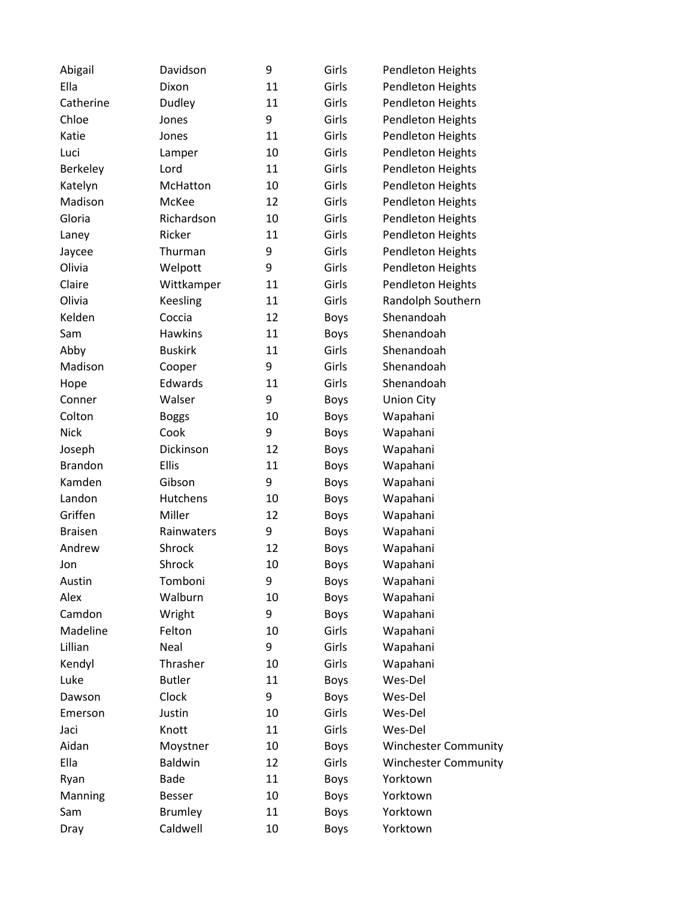| Abigail        | Davidson       | 9  | Girls       | <b>Pendleton Heights</b>    |
|----------------|----------------|----|-------------|-----------------------------|
| Ella           | Dixon          | 11 | Girls       | Pendleton Heights           |
| Catherine      | Dudley         | 11 | Girls       | Pendleton Heights           |
| Chloe          | Jones          | 9  | Girls       | Pendleton Heights           |
| Katie          | Jones          | 11 | Girls       | Pendleton Heights           |
| Luci           | Lamper         | 10 | Girls       | Pendleton Heights           |
| Berkeley       | Lord           | 11 | Girls       | Pendleton Heights           |
| Katelyn        | McHatton       | 10 | Girls       | Pendleton Heights           |
| Madison        | McKee          | 12 | Girls       | <b>Pendleton Heights</b>    |
| Gloria         | Richardson     | 10 | Girls       | Pendleton Heights           |
| Laney          | Ricker         | 11 | Girls       | Pendleton Heights           |
| Jaycee         | Thurman        | 9  | Girls       | Pendleton Heights           |
| Olivia         | Welpott        | 9  | Girls       | <b>Pendleton Heights</b>    |
| Claire         | Wittkamper     | 11 | Girls       | Pendleton Heights           |
| Olivia         | Keesling       | 11 | Girls       | Randolph Southern           |
| Kelden         | Coccia         | 12 | <b>Boys</b> | Shenandoah                  |
| Sam            | <b>Hawkins</b> | 11 | <b>Boys</b> | Shenandoah                  |
| Abby           | <b>Buskirk</b> | 11 | Girls       | Shenandoah                  |
| Madison        | Cooper         | 9  | Girls       | Shenandoah                  |
| Hope           | Edwards        | 11 | Girls       | Shenandoah                  |
| Conner         | Walser         | 9  | <b>Boys</b> | <b>Union City</b>           |
| Colton         | <b>Boggs</b>   | 10 | <b>Boys</b> | Wapahani                    |
| Nick           | Cook           | 9  | <b>Boys</b> | Wapahani                    |
| Joseph         | Dickinson      | 12 | <b>Boys</b> | Wapahani                    |
| <b>Brandon</b> | <b>Ellis</b>   | 11 | <b>Boys</b> | Wapahani                    |
| Kamden         | Gibson         | 9  | <b>Boys</b> | Wapahani                    |
| Landon         | Hutchens       | 10 | <b>Boys</b> | Wapahani                    |
| Griffen        | Miller         | 12 | <b>Boys</b> | Wapahani                    |
| <b>Braisen</b> | Rainwaters     | 9  | <b>Boys</b> | Wapahani                    |
| Andrew         | Shrock         | 12 | <b>Boys</b> | Wapahani                    |
| Jon            | Shrock         | 10 | <b>Boys</b> | Wapahani                    |
| Austin         | Tomboni        | 9  | <b>Boys</b> | Wapahani                    |
| Alex           | Walburn        | 10 | <b>Boys</b> | Wapahani                    |
| Camdon         | Wright         | 9  | <b>Boys</b> | Wapahani                    |
| Madeline       | Felton         | 10 | Girls       | Wapahani                    |
| Lillian        | Neal           | 9  | Girls       | Wapahani                    |
| Kendyl         | Thrasher       | 10 | Girls       | Wapahani                    |
| Luke           | <b>Butler</b>  | 11 | <b>Boys</b> | Wes-Del                     |
| Dawson         | Clock          | 9  | <b>Boys</b> | Wes-Del                     |
| Emerson        | Justin         | 10 | Girls       | Wes-Del                     |
| Jaci           | Knott          | 11 | Girls       | Wes-Del                     |
| Aidan          | Moystner       | 10 | <b>Boys</b> | <b>Winchester Community</b> |
| Ella           | <b>Baldwin</b> | 12 | Girls       | <b>Winchester Community</b> |
| Ryan           | <b>Bade</b>    | 11 | <b>Boys</b> | Yorktown                    |
| Manning        | <b>Besser</b>  | 10 | <b>Boys</b> | Yorktown                    |
| Sam            | <b>Brumley</b> | 11 | <b>Boys</b> | Yorktown                    |
| Dray           | Caldwell       | 10 | <b>Boys</b> | Yorktown                    |